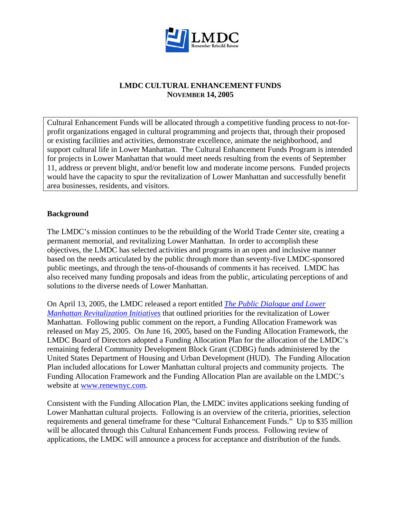

### **LMDC CULTURAL ENHANCEMENT FUNDS NOVEMBER 14, 2005**

Cultural Enhancement Funds will be allocated through a competitive funding process to not-forprofit organizations engaged in cultural programming and projects that, through their proposed or existing facilities and activities, demonstrate excellence, animate the neighborhood, and support cultural life in Lower Manhattan. The Cultural Enhancement Funds Program is intended for projects in Lower Manhattan that would meet needs resulting from the events of September 11, address or prevent blight, and/or benefit low and moderate income persons. Funded projects would have the capacity to spur the revitalization of Lower Manhattan and successfully benefit area businesses, residents, and visitors.

## **Background**

The LMDC's mission continues to be the rebuilding of the World Trade Center site, creating a permanent memorial, and revitalizing Lower Manhattan. In order to accomplish these objectives, the LMDC has selected activities and programs in an open and inclusive manner based on the needs articulated by the public through more than seventy-five LMDC-sponsored public meetings, and through the tens-of-thousands of comments it has received. LMDC has also received many funding proposals and ideas from the public, articulating perceptions of and solutions to the diverse needs of Lower Manhattan.

On April 13, 2005, the LMDC released a report entitled *[The Public Dialogue and Lower](http://www.renewnyc.com/Participate/public_dialog.asp)  [Manhattan Revitalization Initiatives](http://www.renewnyc.com/Participate/public_dialog.asp)* that outlined priorities for the revitalization of Lower Manhattan. Following public comment on the report, a Funding Allocation Framework was released on May 25, 2005. On June 16, 2005, based on the Funding Allocation Framework, the LMDC Board of Directors adopted a Funding Allocation Plan for the allocation of the LMDC's remaining federal Community Development Block Grant (CDBG) funds administered by the United States Department of Housing and Urban Development (HUD). The Funding Allocation Plan included allocations for Lower Manhattan cultural projects and community projects. The Funding Allocation Framework and the Funding Allocation Plan are available on the LMDC's website at [www.renewnyc.com.](http://www.renewnyc.com/)

Consistent with the Funding Allocation Plan, the LMDC invites applications seeking funding of Lower Manhattan cultural projects. Following is an overview of the criteria, priorities, selection requirements and general timeframe for these "Cultural Enhancement Funds." Up to \$35 million will be allocated through this Cultural Enhancement Funds process. Following review of applications, the LMDC will announce a process for acceptance and distribution of the funds.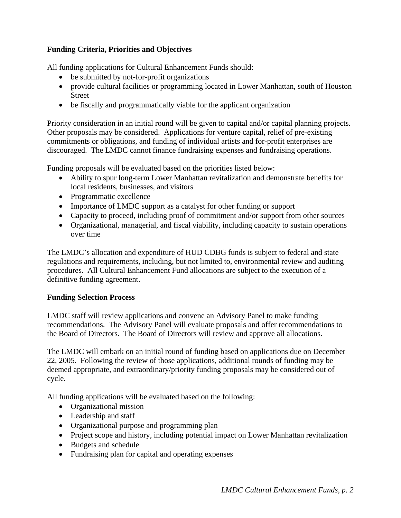# **Funding Criteria, Priorities and Objectives**

All funding applications for Cultural Enhancement Funds should:

- be submitted by not-for-profit organizations
- provide cultural facilities or programming located in Lower Manhattan, south of Houston Street
- be fiscally and programmatically viable for the applicant organization

Priority consideration in an initial round will be given to capital and/or capital planning projects. Other proposals may be considered. Applications for venture capital, relief of pre-existing commitments or obligations, and funding of individual artists and for-profit enterprises are discouraged. The LMDC cannot finance fundraising expenses and fundraising operations.

Funding proposals will be evaluated based on the priorities listed below:

- Ability to spur long-term Lower Manhattan revitalization and demonstrate benefits for local residents, businesses, and visitors
- Programmatic excellence
- Importance of LMDC support as a catalyst for other funding or support
- Capacity to proceed, including proof of commitment and/or support from other sources
- Organizational, managerial, and fiscal viability, including capacity to sustain operations over time

The LMDC's allocation and expenditure of HUD CDBG funds is subject to federal and state regulations and requirements, including, but not limited to, environmental review and auditing procedures. All Cultural Enhancement Fund allocations are subject to the execution of a definitive funding agreement.

## **Funding Selection Process**

LMDC staff will review applications and convene an Advisory Panel to make funding recommendations. The Advisory Panel will evaluate proposals and offer recommendations to the Board of Directors. The Board of Directors will review and approve all allocations.

The LMDC will embark on an initial round of funding based on applications due on December 22, 2005. Following the review of those applications, additional rounds of funding may be deemed appropriate, and extraordinary/priority funding proposals may be considered out of cycle.

All funding applications will be evaluated based on the following:

- Organizational mission
- Leadership and staff
- Organizational purpose and programming plan
- Project scope and history, including potential impact on Lower Manhattan revitalization
- Budgets and schedule
- Fundraising plan for capital and operating expenses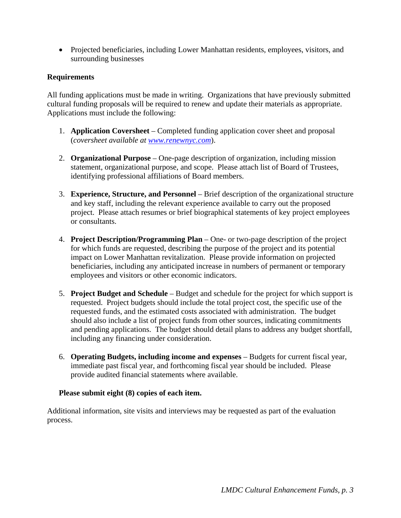• Projected beneficiaries, including Lower Manhattan residents, employees, visitors, and surrounding businesses

## **Requirements**

All funding applications must be made in writing. Organizations that have previously submitted cultural funding proposals will be required to renew and update their materials as appropriate. Applications must include the following:

- 1. **Application Coversheet** Completed funding application cover sheet and proposal (*coversheet available at [www.renewnyc.com](http://www.renewnyc.com/)*).
- 2. **Organizational Purpose** One-page description of organization, including mission statement, organizational purpose, and scope. Please attach list of Board of Trustees, identifying professional affiliations of Board members.
- 3. **Experience, Structure, and Personnel** Brief description of the organizational structure and key staff, including the relevant experience available to carry out the proposed project. Please attach resumes or brief biographical statements of key project employees or consultants.
- 4. **Project Description/Programming Plan** One- or two-page description of the project for which funds are requested, describing the purpose of the project and its potential impact on Lower Manhattan revitalization. Please provide information on projected beneficiaries, including any anticipated increase in numbers of permanent or temporary employees and visitors or other economic indicators.
- 5. **Project Budget and Schedule** Budget and schedule for the project for which support is requested. Project budgets should include the total project cost, the specific use of the requested funds, and the estimated costs associated with administration. The budget should also include a list of project funds from other sources, indicating commitments and pending applications. The budget should detail plans to address any budget shortfall, including any financing under consideration.
- 6. **Operating Budgets, including income and expenses** Budgets for current fiscal year, immediate past fiscal year, and forthcoming fiscal year should be included. Please provide audited financial statements where available.

### **Please submit eight (8) copies of each item.**

Additional information, site visits and interviews may be requested as part of the evaluation process.